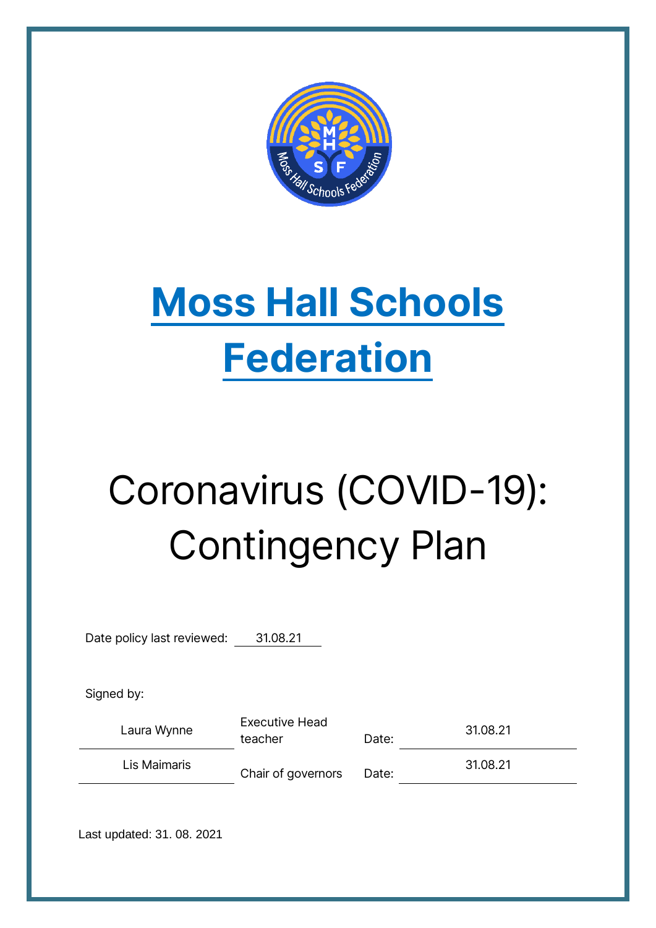

## **Moss Hall Schools Federation**

# Coronavirus (COVID-19): Contingency Plan

Date policy last reviewed: 31.08.21

Signed by:

Laura Wynne Executive Head teacher Date: 31.08.21

Lis Maimaris Chair of governors Date: 31.08.21

Last updated: 31. 08. 2021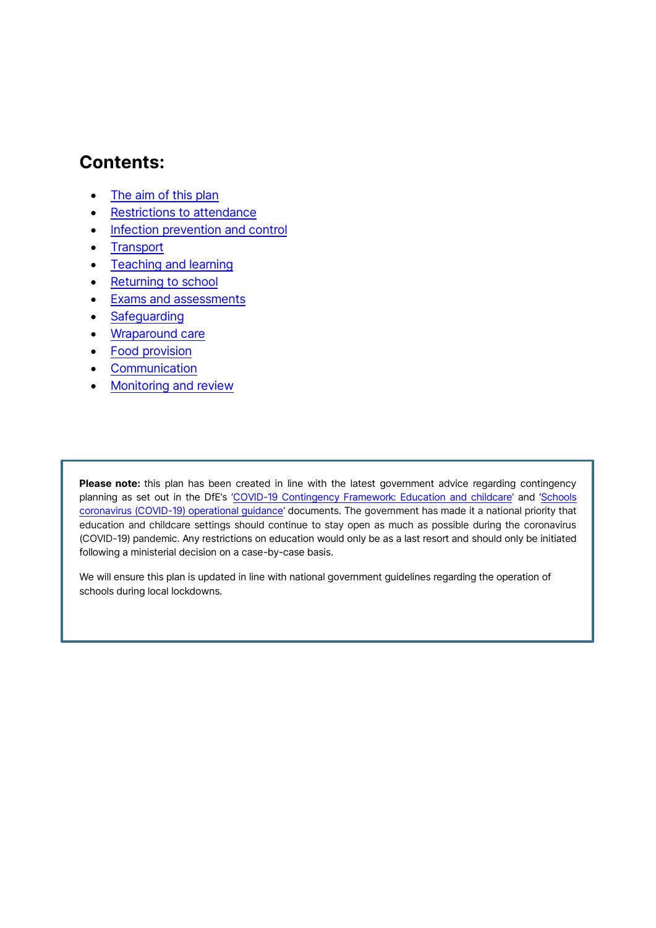## **Contents:**

- [The aim of this plan](#page-3-0)
- [Restrictions to attendance](#page-4-0)
- [Infection prevention and control](#page-4-1)
- [Transport](#page-5-0)
- [Teaching and learning](#page-7-0)
- [Returning to school](#page-8-0)
- [Exams and assessments](#page-8-1)
- [Safeguarding](#page-8-1)
- [Wraparound care](#page-9-0)
- [Food provision](#page-9-1)
- [Communication](#page-9-2)
- [Monitoring and review](#page-10-0)

Please note: this plan has been created in line with the latest government advice regarding contingency planning as set out in the DfE's '[COVID-19 Contingency Framework: Education and childcare](https://www.gov.uk/government/publications/coronavirus-covid-19-local-restrictions-in-education-and-childcare-settings?utm_source=14%20May%202021%20C19&utm_medium=Daily%20Email%20C19&utm_campaign=DfE%20C19)' and '[Schools](https://www.gov.uk/government/publications/actions-for-schools-during-the-coronavirus-outbreak/guidance-for-full-opening-schools)  [coronavirus \(COVID-19\) operational guidance](https://www.gov.uk/government/publications/actions-for-schools-during-the-coronavirus-outbreak/guidance-for-full-opening-schools)' documents. The government has made it a national priority that education and childcare settings should continue to stay open as much as possible during the coronavirus (COVID-19) pandemic. Any restrictions on education would only be as a last resort and should only be initiated following a ministerial decision on a case-by-case basis.

We will ensure this plan is updated in line with national government guidelines regarding the operation of schools during local lockdowns.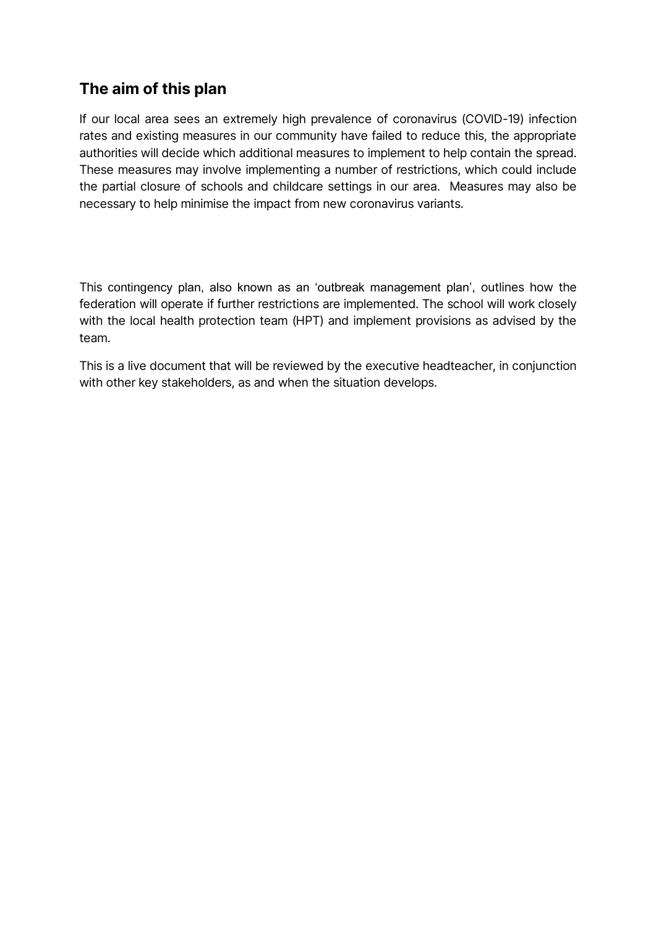## <span id="page-3-0"></span>**The aim of this plan**

If our local area sees an extremely high prevalence of coronavirus (COVID-19) infection rates and existing measures in our community have failed to reduce this, the appropriate authorities will decide which additional measures to implement to help contain the spread. These measures may involve implementing a number of restrictions, which could include the partial closure of schools and childcare settings in our area. Measures may also be necessary to help minimise the impact from new coronavirus variants.

This contingency plan, also known as an 'outbreak management plan', outlines how the federation will operate if further restrictions are implemented. The school will work closely with the local health protection team (HPT) and implement provisions as advised by the team.

This is a live document that will be reviewed by the executive headteacher, in conjunction with other key stakeholders, as and when the situation develops.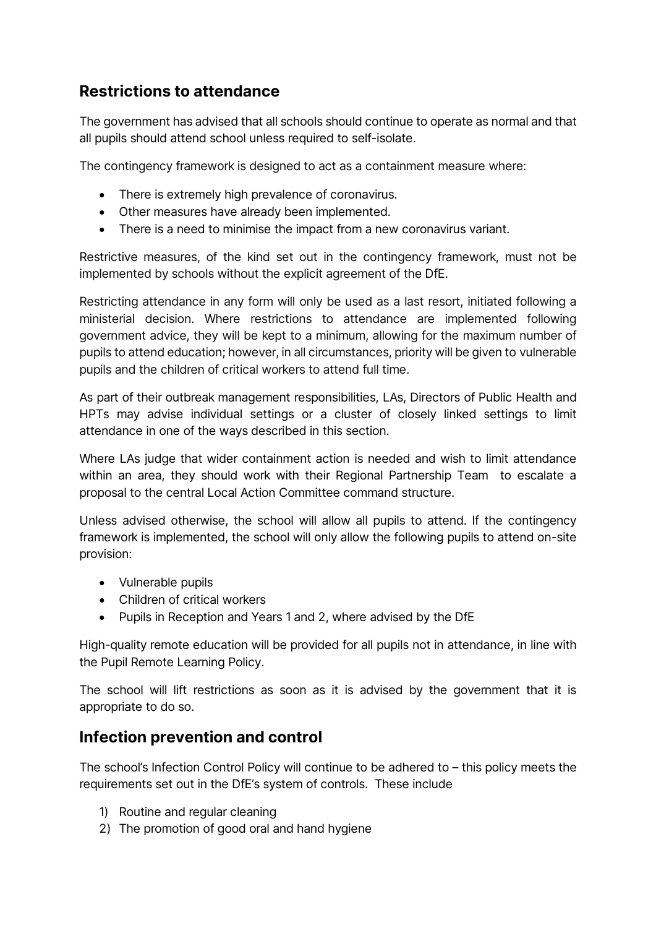## <span id="page-4-0"></span>**Restrictions to attendance**

The government has advised that all schools should continue to operate as normal and that all pupils should attend school unless required to self-isolate.

The contingency framework is designed to act as a containment measure where:

- There is extremely high prevalence of coronavirus.
- Other measures have already been implemented.
- There is a need to minimise the impact from a new coronavirus variant.

Restrictive measures, of the kind set out in the contingency framework, must not be implemented by schools without the explicit agreement of the DfE.

Restricting attendance in any form will only be used as a last resort, initiated following a ministerial decision. Where restrictions to attendance are implemented following government advice, they will be kept to a minimum, allowing for the maximum number of pupils to attend education; however, in all circumstances, priority will be given to vulnerable pupils and the children of critical workers to attend full time.

As part of their outbreak management responsibilities, LAs, Directors of Public Health and HPTs may advise individual settings or a cluster of closely linked settings to limit attendance in one of the ways described in this section.

Where LAs judge that wider containment action is needed and wish to limit attendance within an area, they should work with their Regional Partnership Team to escalate a proposal to the central Local Action Committee command structure.

Unless advised otherwise, the school will allow all pupils to attend. If the contingency framework is implemented, the school will only allow the following pupils to attend on-site provision:

- Vulnerable pupils
- Children of critical workers
- Pupils in Reception and Years 1 and 2, where advised by the DfE

High-quality remote education will be provided for all pupils not in attendance, in line with the Pupil Remote Learning Policy.

The school will lift restrictions as soon as it is advised by the government that it is appropriate to do so.

## <span id="page-4-1"></span>**Infection prevention and control**

The school's Infection Control Policy will continue to be adhered to – this policy meets the requirements set out in the DfE's system of controls. These include

- 1) Routine and regular cleaning
- 2) The promotion of good oral and hand hygiene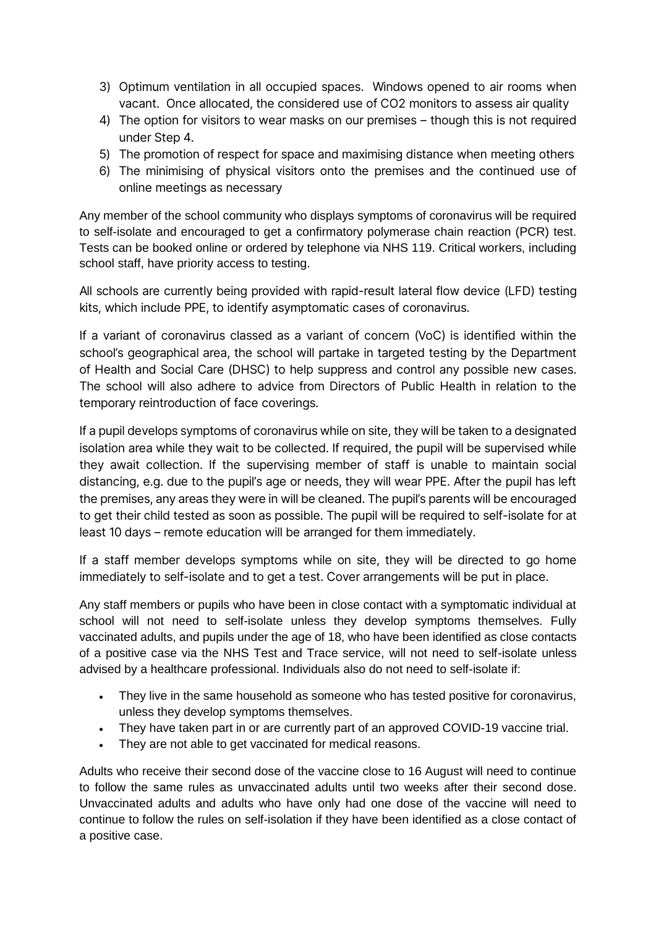- 3) Optimum ventilation in all occupied spaces. Windows opened to air rooms when vacant. Once allocated, the considered use of CO2 monitors to assess air quality
- 4) The option for visitors to wear masks on our premises though this is not required under Step 4.
- 5) The promotion of respect for space and maximising distance when meeting others
- 6) The minimising of physical visitors onto the premises and the continued use of online meetings as necessary

Any member of the school community who displays symptoms of coronavirus will be required to self-isolate and encouraged to get a confirmatory polymerase chain reaction (PCR) test. Tests can be booked online or ordered by telephone via NHS 119. Critical workers, including school staff, have priority access to testing.

All schools are currently being provided with rapid-result lateral flow device (LFD) testing kits, which include PPE, to identify asymptomatic cases of coronavirus.

If a variant of coronavirus classed as a variant of concern (VoC) is identified within the school's geographical area, the school will partake in targeted testing by the Department of Health and Social Care (DHSC) to help suppress and control any possible new cases. The school will also adhere to advice from Directors of Public Health in relation to the temporary reintroduction of face coverings.

If a pupil develops symptoms of coronavirus while on site, they will be taken to a designated isolation area while they wait to be collected. If required, the pupil will be supervised while they await collection. If the supervising member of staff is unable to maintain social distancing, e.g. due to the pupil's age or needs, they will wear PPE. After the pupil has left the premises, any areas they were in will be cleaned. The pupil's parents will be encouraged to get their child tested as soon as possible. The pupil will be required to self-isolate for at least 10 days – remote education will be arranged for them immediately.

If a staff member develops symptoms while on site, they will be directed to go home immediately to self-isolate and to get a test. Cover arrangements will be put in place.

<span id="page-5-0"></span>Any staff members or pupils who have been in close contact with a symptomatic individual at school will not need to self-isolate unless they develop symptoms themselves. Fully vaccinated adults, and pupils under the age of 18, who have been identified as close contacts of a positive case via the NHS Test and Trace service, will not need to self-isolate unless advised by a healthcare professional. Individuals also do not need to self-isolate if:

- They live in the same household as someone who has tested positive for coronavirus, unless they develop symptoms themselves.
- They have taken part in or are currently part of an approved COVID-19 vaccine trial.
- They are not able to get vaccinated for medical reasons.

Adults who receive their second dose of the vaccine close to 16 August will need to continue to follow the same rules as unvaccinated adults until two weeks after their second dose. Unvaccinated adults and adults who have only had one dose of the vaccine will need to continue to follow the rules on self-isolation if they have been identified as a close contact of a positive case.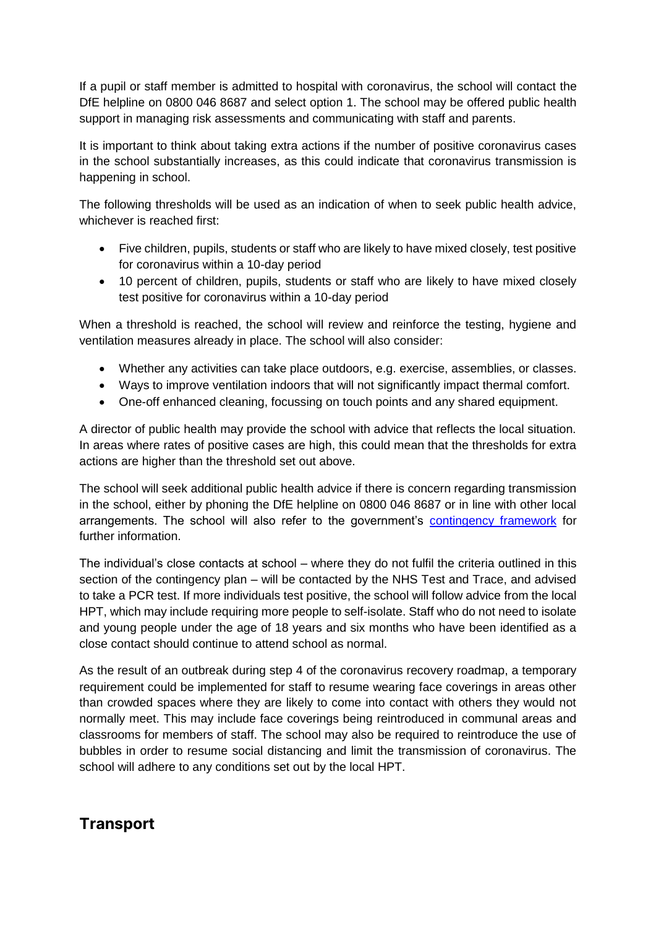If a pupil or staff member is admitted to hospital with coronavirus, the school will contact the DfE helpline on 0800 046 8687 and select option 1. The school may be offered public health support in managing risk assessments and communicating with staff and parents.

It is important to think about taking extra actions if the number of positive coronavirus cases in the school substantially increases, as this could indicate that coronavirus transmission is happening in school.

The following thresholds will be used as an indication of when to seek public health advice, whichever is reached first:

- Five children, pupils, students or staff who are likely to have mixed closely, test positive for coronavirus within a 10-day period
- 10 percent of children, pupils, students or staff who are likely to have mixed closely test positive for coronavirus within a 10-day period

When a threshold is reached, the school will review and reinforce the testing, hygiene and ventilation measures already in place. The school will also consider:

- Whether any activities can take place outdoors, e.g. exercise, assemblies, or classes.
- Ways to improve ventilation indoors that will not significantly impact thermal comfort.
- One-off enhanced cleaning, focussing on touch points and any shared equipment.

A director of public health may provide the school with advice that reflects the local situation. In areas where rates of positive cases are high, this could mean that the thresholds for extra actions are higher than the threshold set out above.

The school will seek additional public health advice if there is concern regarding transmission in the school, either by phoning the DfE helpline on 0800 046 8687 or in line with other local arrangements. The school will also refer to the government's [contingency framework](https://www.gov.uk/government/publications/coronavirus-covid-19-local-restrictions-in-education-and-childcare-settings) for further information.

The individual's close contacts at school – where they do not fulfil the criteria outlined in this section of the contingency plan – will be contacted by the NHS Test and Trace, and advised to take a PCR test. If more individuals test positive, the school will follow advice from the local HPT, which may include requiring more people to self-isolate. Staff who do not need to isolate and young people under the age of 18 years and six months who have been identified as a close contact should continue to attend school as normal.

As the result of an outbreak during step 4 of the coronavirus recovery roadmap, a temporary requirement could be implemented for staff to resume wearing face coverings in areas other than crowded spaces where they are likely to come into contact with others they would not normally meet. This may include face coverings being reintroduced in communal areas and classrooms for members of staff. The school may also be required to reintroduce the use of bubbles in order to resume social distancing and limit the transmission of coronavirus. The school will adhere to any conditions set out by the local HPT.

## **Transport**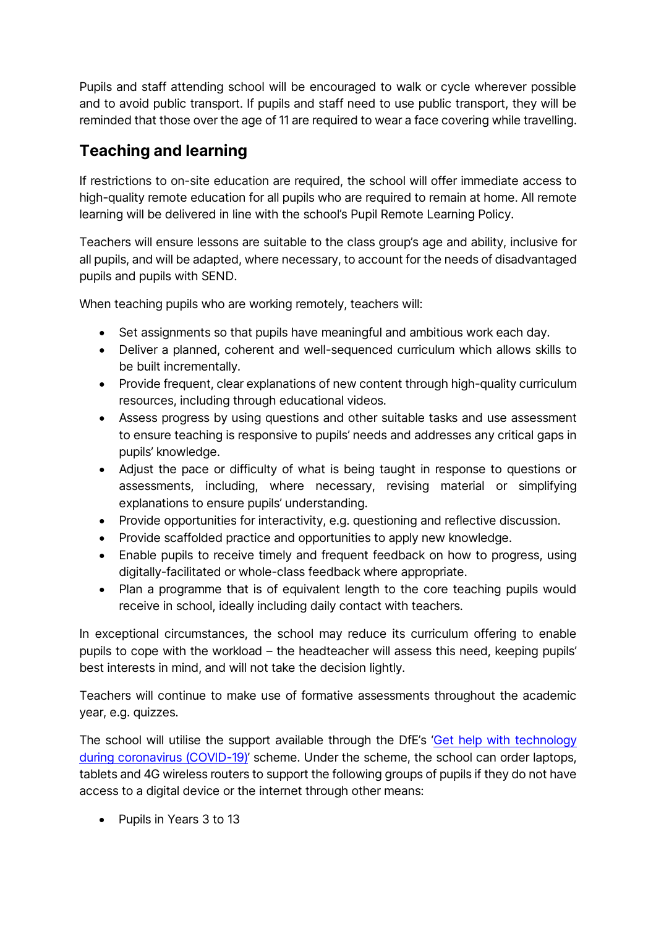Pupils and staff attending school will be encouraged to walk or cycle wherever possible and to avoid public transport. If pupils and staff need to use public transport, they will be reminded that those over the age of 11 are required to wear a face covering while travelling.

## <span id="page-7-0"></span>**Teaching and learning**

If restrictions to on-site education are required, the school will offer immediate access to high-quality remote education for all pupils who are required to remain at home. All remote learning will be delivered in line with the school's Pupil Remote Learning Policy.

Teachers will ensure lessons are suitable to the class group's age and ability, inclusive for all pupils, and will be adapted, where necessary, to account for the needs of disadvantaged pupils and pupils with SEND.

When teaching pupils who are working remotely, teachers will:

- Set assignments so that pupils have meaningful and ambitious work each day.
- Deliver a planned, coherent and well-sequenced curriculum which allows skills to be built incrementally.
- Provide frequent, clear explanations of new content through high-quality curriculum resources, including through educational videos.
- Assess progress by using questions and other suitable tasks and use assessment to ensure teaching is responsive to pupils' needs and addresses any critical gaps in pupils' knowledge.
- Adjust the pace or difficulty of what is being taught in response to questions or assessments, including, where necessary, revising material or simplifying explanations to ensure pupils' understanding.
- Provide opportunities for interactivity, e.g. questioning and reflective discussion.
- Provide scaffolded practice and opportunities to apply new knowledge.
- Enable pupils to receive timely and frequent feedback on how to progress, using digitally-facilitated or whole-class feedback where appropriate.
- Plan a programme that is of equivalent length to the core teaching pupils would receive in school, ideally including daily contact with teachers.

In exceptional circumstances, the school may reduce its curriculum offering to enable pupils to cope with the workload – the headteacher will assess this need, keeping pupils' best interests in mind, and will not take the decision lightly.

Teachers will continue to make use of formative assessments throughout the academic year, e.g. quizzes.

The school will utilise the support available through the DfE's '[Get help with technology](https://www.gov.uk/guidance/get-help-with-technology-for-remote-education-during-coronavirus-covid-19)  [during coronavirus \(COVID-19\)](https://www.gov.uk/guidance/get-help-with-technology-for-remote-education-during-coronavirus-covid-19)' scheme. Under the scheme, the school can order laptops, tablets and 4G wireless routers to support the following groups of pupils if they do not have access to a digital device or the internet through other means:

• Pupils in Years 3 to 13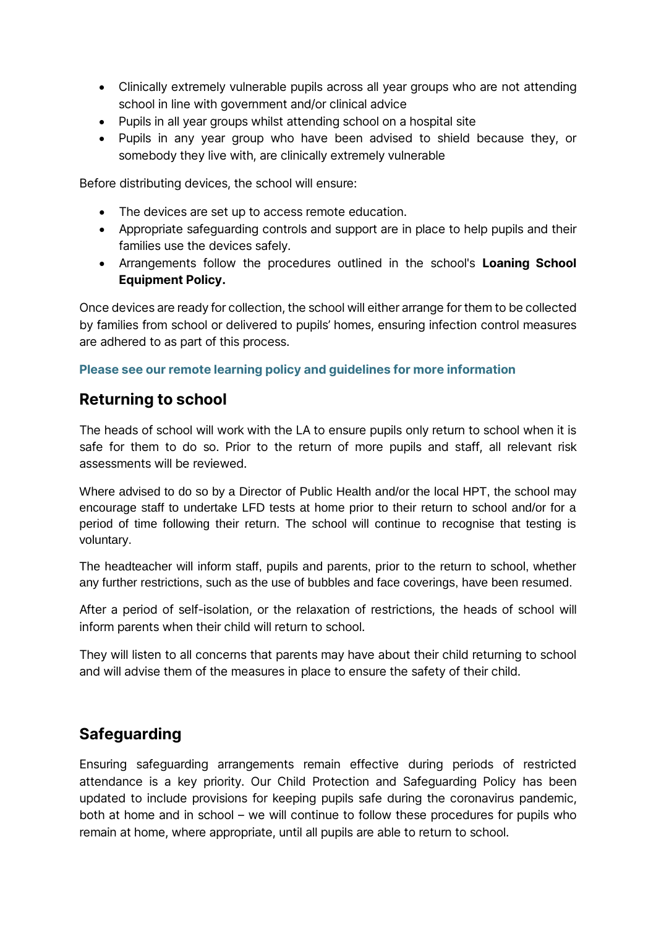- Clinically extremely vulnerable pupils across all year groups who are not attending school in line with government and/or clinical advice
- Pupils in all year groups whilst attending school on a hospital site
- Pupils in any year group who have been advised to shield because they, or somebody they live with, are clinically extremely vulnerable

Before distributing devices, the school will ensure:

- The devices are set up to access remote education.
- Appropriate safeguarding controls and support are in place to help pupils and their families use the devices safely.
- Arrangements follow the procedures outlined in the school's **Loaning School Equipment Policy.**

Once devices are ready for collection, the school will either arrange for them to be collected by families from school or delivered to pupils' homes, ensuring infection control measures are adhered to as part of this process.

#### **Please see our remote learning policy and guidelines for more information**

## <span id="page-8-0"></span>**Returning to school**

The heads of school will work with the LA to ensure pupils only return to school when it is safe for them to do so. Prior to the return of more pupils and staff, all relevant risk assessments will be reviewed.

Where advised to do so by a Director of Public Health and/or the local HPT, the school may encourage staff to undertake LFD tests at home prior to their return to school and/or for a period of time following their return. The school will continue to recognise that testing is voluntary.

The headteacher will inform staff, pupils and parents, prior to the return to school, whether any further restrictions, such as the use of bubbles and face coverings, have been resumed.

After a period of self-isolation, or the relaxation of restrictions, the heads of school will inform parents when their child will return to school.

They will listen to all concerns that parents may have about their child returning to school and will advise them of the measures in place to ensure the safety of their child.

## <span id="page-8-1"></span>**Safeguarding**

Ensuring safeguarding arrangements remain effective during periods of restricted attendance is a key priority. Our Child Protection and Safeguarding Policy has been updated to include provisions for keeping pupils safe during the coronavirus pandemic, both at home and in school – we will continue to follow these procedures for pupils who remain at home, where appropriate, until all pupils are able to return to school.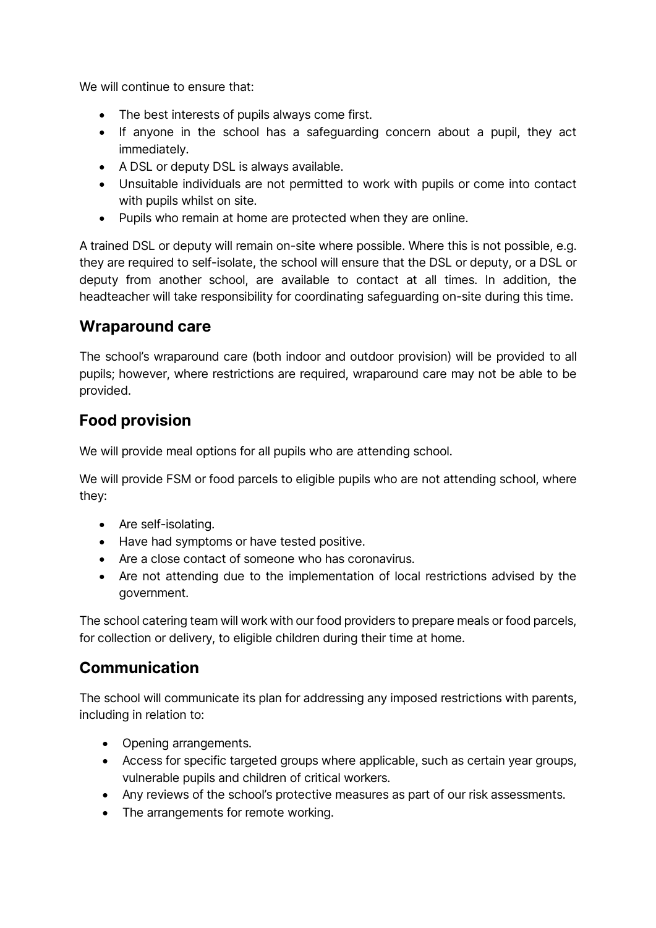We will continue to ensure that:

- The best interests of pupils always come first.
- If anyone in the school has a safeguarding concern about a pupil, they act immediately.
- A DSL or deputy DSL is always available.
- Unsuitable individuals are not permitted to work with pupils or come into contact with pupils whilst on site.
- <span id="page-9-0"></span>• Pupils who remain at home are protected when they are online.

A trained DSL or deputy will remain on-site where possible. Where this is not possible, e.g. they are required to self-isolate, the school will ensure that the DSL or deputy, or a DSL or deputy from another school, are available to contact at all times. In addition, the headteacher will take responsibility for coordinating safeguarding on-site during this time.

## **Wraparound care**

The school's wraparound care (both indoor and outdoor provision) will be provided to all pupils; however, where restrictions are required, wraparound care may not be able to be provided.

## <span id="page-9-1"></span>**Food provision**

We will provide meal options for all pupils who are attending school.

We will provide FSM or food parcels to eligible pupils who are not attending school, where they:

- Are self-isolating.
- Have had symptoms or have tested positive.
- Are a close contact of someone who has coronavirus.
- Are not attending due to the implementation of local restrictions advised by the government.

The school catering team will work with our food providers to prepare meals or food parcels, for collection or delivery, to eligible children during their time at home.

## <span id="page-9-2"></span>**Communication**

The school will communicate its plan for addressing any imposed restrictions with parents, including in relation to:

- Opening arrangements.
- Access for specific targeted groups where applicable, such as certain year groups, vulnerable pupils and children of critical workers.
- Any reviews of the school's protective measures as part of our risk assessments.
- The arrangements for remote working.